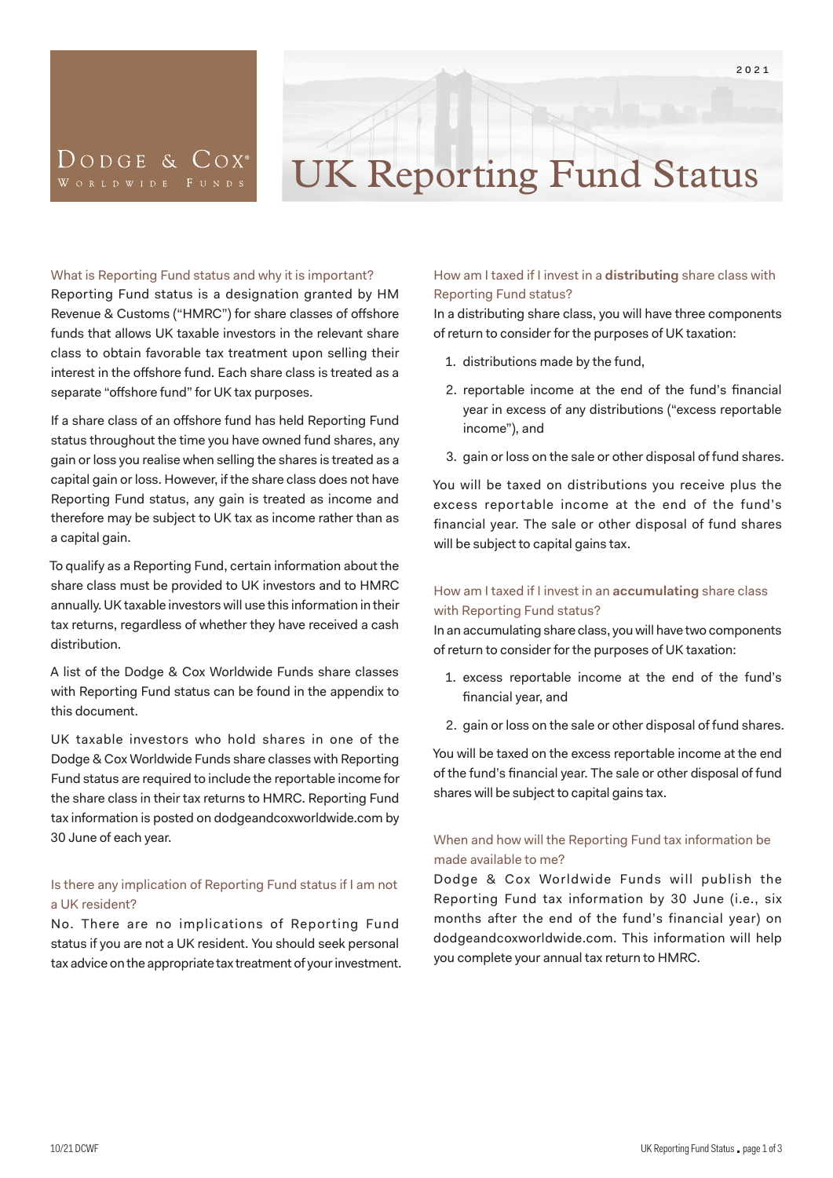

## DODGE & COX<sup>®</sup>

# UK Reporting Fund Status

#### What is Reporting Fund status and why it is important?

Reporting Fund status is a designation granted by HM Revenue & Customs ("HMRC") for share classes of offshore funds that allows UK taxable investors in the relevant share class to obtain favorable tax treatment upon selling their interest in the offshore fund. Each share class is treated as a separate "offshore fund" for UK tax purposes.

If a share class of an offshore fund has held Reporting Fund status throughout the time you have owned fund shares, any gain or loss you realise when selling the shares is treated as a capital gain or loss. However, if the share class does not have Reporting Fund status, any gain is treated as income and therefore may be subject to UK tax as income rather than as a capital gain.

To qualify as a Reporting Fund, certain information about the share class must be provided to UK investors and to HMRC annually. UK taxable investors will use this information in their tax returns, regardless of whether they have received a cash distribution.

A list of the Dodge & Cox Worldwide Funds share classes with Reporting Fund status can be found in the appendix to this document.

UK taxable investors who hold shares in one of the Dodge & Cox Worldwide Funds share classes with Reporting Fund status are required to include the reportable income for the share class in their tax returns to HMRC. Reporting Fund tax information is posted on dodgeandcoxworldwide.com by 30 June of each year.

#### Is there any implication of Reporting Fund status if I am not a UK resident?

No. There are no implications of Reporting Fund status if you are not a UK resident. You should seek personal tax advice on the appropriate tax treatment of your investment.

#### How am I taxed if I invest in a **distributing** share class with Reporting Fund status?

In a distributing share class, you will have three components of return to consider for the purposes of UK taxation:

- 1. distributions made by the fund,
- 2. reportable income at the end of the fund's financial year in excess of any distributions ("excess reportable income"), and
- 3. gain or loss on the sale or other disposal of fund shares.

You will be taxed on distributions you receive plus the excess reportable income at the end of the fund's financial year. The sale or other disposal of fund shares will be subject to capital gains tax.

#### How am I taxed if I invest in an **accumulating** share class with Reporting Fund status?

In an accumulating share class, you will have two components of return to consider for the purposes of UK taxation:

- 1. excess reportable income at the end of the fund's financial year, and
- 2. gain or loss on the sale or other disposal of fund shares.

You will be taxed on the excess reportable income at the end of the fund's financial year. The sale or other disposal of fund shares will be subject to capital gains tax.

#### When and how will the Reporting Fund tax information be made available to me?

Dodge & Cox Worldwide Funds will publish the Reporting Fund tax information by 30 June (i.e., six months after the end of the fund's financial year) on dodgeandcoxworldwide.com. This information will help you complete your annual tax return to HMRC.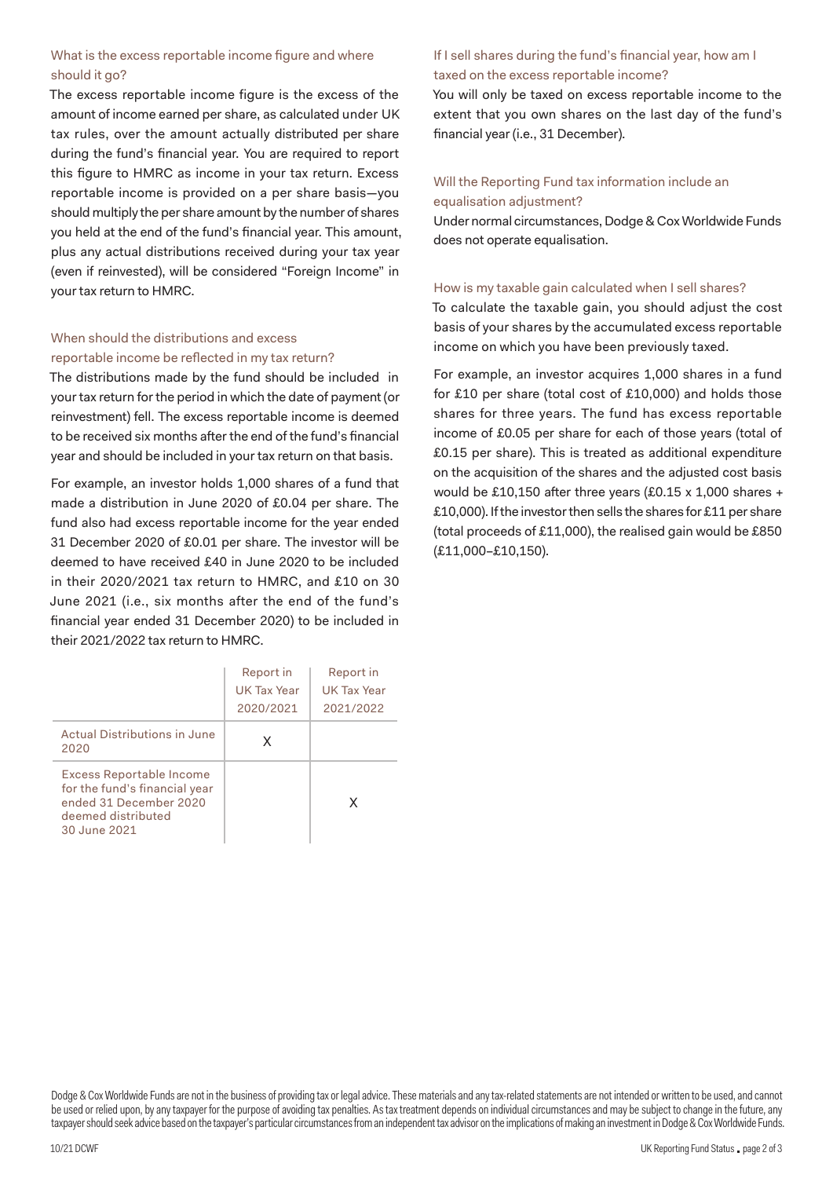#### What is the excess reportable income figure and where should it go?

The excess reportable income figure is the excess of the amount of income earned per share, as calculated under UK tax rules, over the amount actually distributed per share during the fund's financial year. You are required to report this figure to HMRC as income in your tax return. Excess reportable income is provided on a per share basis—you should multiply the per share amount by the number of shares you held at the end of the fund's financial year. This amount, plus any actual distributions received during your tax year (even if reinvested), will be considered "Foreign Income" in your tax return to HMRC.

#### When should the distributions and excess reportable income be reflected in my tax return?

The distributions made by the fund should be included in your tax return for the period in which the date of payment (or reinvestment) fell. The excess reportable income is deemed to be received six months after the end of the fund's financial year and should be included in your tax return on that basis.

For example, an investor holds 1,000 shares of a fund that made a distribution in June 2020 of £0.04 per share. The fund also had excess reportable income for the year ended 31 December 2020 of £0.01 per share. The investor will be deemed to have received £40 in June 2020 to be included in their 2020/2021 tax return to HMRC, and £10 on 30 June 2021 (i.e., six months after the end of the fund's financial year ended 31 December 2020) to be included in their 2021/2022 tax return to HMRC.

|                                                                                                                           | Report in<br>UK Tax Year<br>2020/2021 | Report in<br>UK Tax Year<br>2021/2022 |
|---------------------------------------------------------------------------------------------------------------------------|---------------------------------------|---------------------------------------|
| Actual Distributions in June<br>2020                                                                                      | x                                     |                                       |
| Excess Reportable Income<br>for the fund's financial year<br>ended 31 December 2020<br>deemed distributed<br>30 June 2021 |                                       | x                                     |

#### If I sell shares during the fund's financial year, how am I taxed on the excess reportable income?

You will only be taxed on excess reportable income to the extent that you own shares on the last day of the fund's financial year (i.e., 31 December).

#### Will the Reporting Fund tax information include an equalisation adjustment?

Under normal circumstances, Dodge & Cox Worldwide Funds does not operate equalisation.

#### How is my taxable gain calculated when I sell shares?

To calculate the taxable gain, you should adjust the cost basis of your shares by the accumulated excess reportable income on which you have been previously taxed.

For example, an investor acquires 1,000 shares in a fund for £10 per share (total cost of £10,000) and holds those shares for three years. The fund has excess reportable income of £0.05 per share for each of those years (total of £0.15 per share). This is treated as additional expenditure on the acquisition of the shares and the adjusted cost basis would be £10,150 after three years (£0.15 x 1,000 shares + £10,000). If the investor then sells the shares for £11 per share (total proceeds of £11,000), the realised gain would be £850 (£11,000–£10,150).

Dodge & Cox Worldwide Funds are not in the business of providing tax or legal advice. These materials and any tax-related statements are not intended or written to be used, and cannot be used or relied upon, by any taxpayer for the purpose of avoiding tax penalties. As tax treatment depends on individual circumstances and may be subject to change in the future, any taxpayer should seek advice based on the taxpayer's particular circumstances from an independent tax advisor on the implications of making an investment in Dodge & Cox Worldwide Funds.